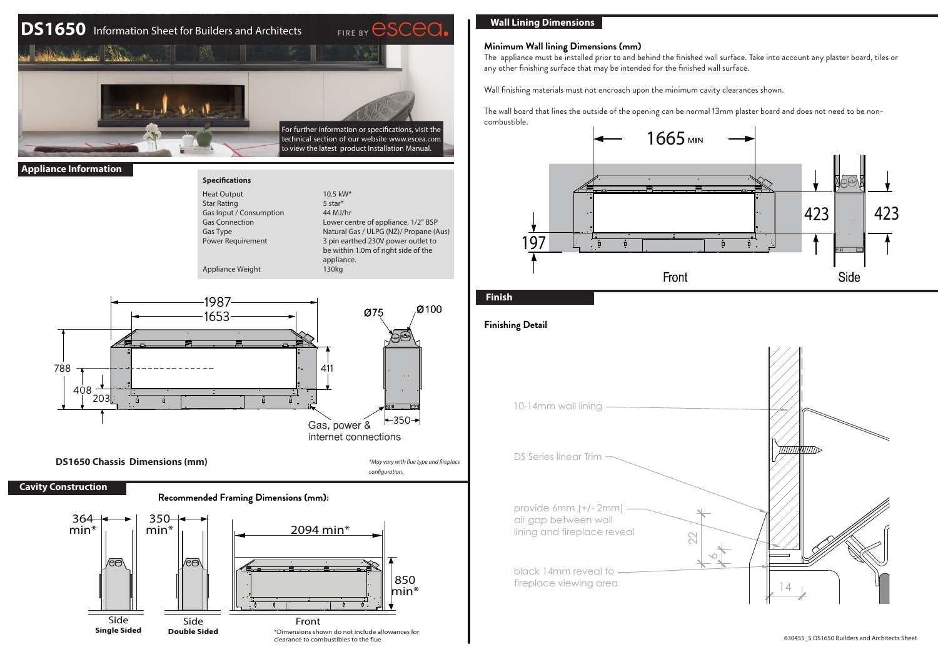# **DS1650** Information Sheet for Builders and Architects



**Specificatio** Heat Output Star Rating

#### **Appliance Information**

| <b>Specifications</b>    |                                        |
|--------------------------|----------------------------------------|
| <b>Heat Output</b>       | $10.5 \text{ kW*}$                     |
| <b>Star Rating</b>       | 5 star*                                |
| Gas Input / Consumption  | 44 MJ/hr                               |
| <b>Gas Connection</b>    | Lower centre of appliance, 1/2" BSP    |
| Gas Type                 | Natural Gas / ULPG (NZ)/ Propane (Aus) |
| <b>Power Requirement</b> | 3 pin earthed 230V power outlet to     |
|                          | be within 1.0m of right side of the    |
|                          | appliance.                             |
| Annliance Weight         | 130ka                                  |



**DS1650 Chassis Dimensions (mm)**

### **Cavity Construction**

788

408 203

#### **Recommended Framing Dimensions (mm):**



## **Wall Lining Dimensions**

#### **Minimum Wall lining Dimensions (mm)**

The appliance must be installed prior to and behind the finished wall surface. Take into account any plaster board, tiles or any other finishing surface that may be intended for the finished wall surface.

Wall finishing materials must not encroach upon the minimum cavity clearances shown.

The wall board that lines the outside of the opening can be normal 13mm plaster board and does not need to be noncombustible.



## **Finish**

*\*May vary with flue type and fireplace* 

*configuration.*

internet connections